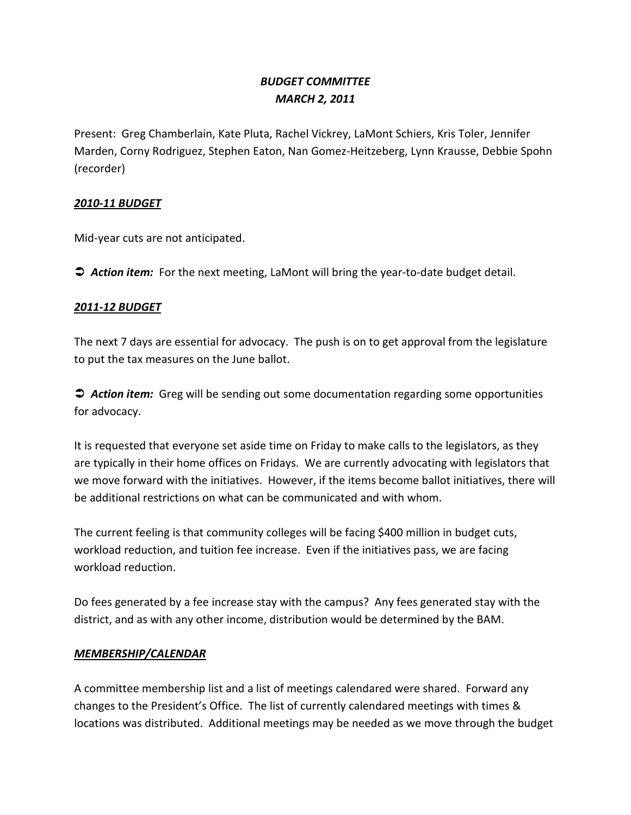# *BUDGET COMMITTEE MARCH 2, 2011*

Present: Greg Chamberlain, Kate Pluta, Rachel Vickrey, LaMont Schiers, Kris Toler, Jennifer Marden, Corny Rodriguez, Stephen Eaton, Nan Gomez-Heitzeberg, Lynn Krausse, Debbie Spohn (recorder)

#### *2010-11 BUDGET*

Mid-year cuts are not anticipated.

*Action item:* For the next meeting, LaMont will bring the year-to-date budget detail.

#### *2011-12 BUDGET*

The next 7 days are essential for advocacy. The push is on to get approval from the legislature to put the tax measures on the June ballot.

 *Action item:* Greg will be sending out some documentation regarding some opportunities for advocacy.

It is requested that everyone set aside time on Friday to make calls to the legislators, as they are typically in their home offices on Fridays. We are currently advocating with legislators that we move forward with the initiatives. However, if the items become ballot initiatives, there will be additional restrictions on what can be communicated and with whom.

The current feeling is that community colleges will be facing \$400 million in budget cuts, workload reduction, and tuition fee increase. Even if the initiatives pass, we are facing workload reduction.

Do fees generated by a fee increase stay with the campus? Any fees generated stay with the district, and as with any other income, distribution would be determined by the BAM.

## *MEMBERSHIP/CALENDAR*

A committee membership list and a list of meetings calendared were shared. Forward any changes to the President's Office. The list of currently calendared meetings with times & locations was distributed. Additional meetings may be needed as we move through the budget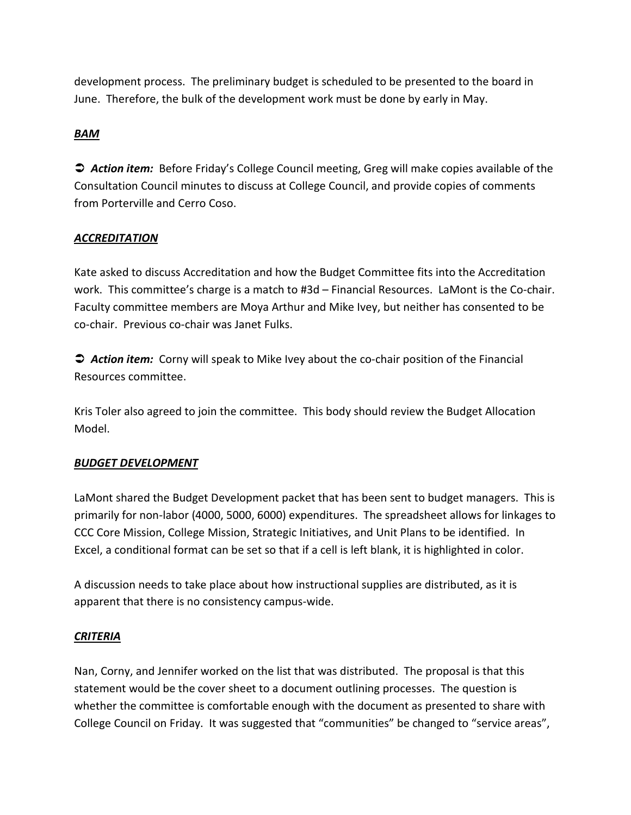development process. The preliminary budget is scheduled to be presented to the board in June. Therefore, the bulk of the development work must be done by early in May.

# *BAM*

 *Action item:* Before Friday's College Council meeting, Greg will make copies available of the Consultation Council minutes to discuss at College Council, and provide copies of comments from Porterville and Cerro Coso.

# *ACCREDITATION*

Kate asked to discuss Accreditation and how the Budget Committee fits into the Accreditation work. This committee's charge is a match to #3d – Financial Resources. LaMont is the Co-chair. Faculty committee members are Moya Arthur and Mike Ivey, but neither has consented to be co-chair. Previous co-chair was Janet Fulks.

 *Action item:* Corny will speak to Mike Ivey about the co-chair position of the Financial Resources committee.

Kris Toler also agreed to join the committee. This body should review the Budget Allocation Model.

## *BUDGET DEVELOPMENT*

LaMont shared the Budget Development packet that has been sent to budget managers. This is primarily for non-labor (4000, 5000, 6000) expenditures. The spreadsheet allows for linkages to CCC Core Mission, College Mission, Strategic Initiatives, and Unit Plans to be identified. In Excel, a conditional format can be set so that if a cell is left blank, it is highlighted in color.

A discussion needs to take place about how instructional supplies are distributed, as it is apparent that there is no consistency campus-wide.

## *CRITERIA*

Nan, Corny, and Jennifer worked on the list that was distributed. The proposal is that this statement would be the cover sheet to a document outlining processes. The question is whether the committee is comfortable enough with the document as presented to share with College Council on Friday. It was suggested that "communities" be changed to "service areas",